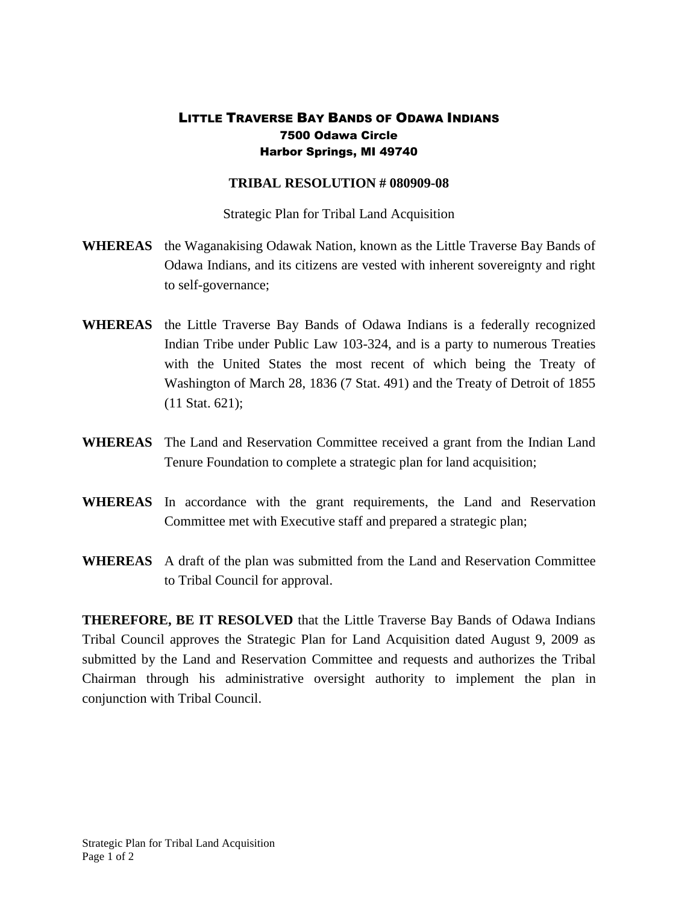## LITTLE TRAVERSE BAY BANDS OF ODAWA INDIANS 7500 Odawa Circle Harbor Springs, MI 49740

## **TRIBAL RESOLUTION # 080909-08**

Strategic Plan for Tribal Land Acquisition

- **WHEREAS** the Waganakising Odawak Nation, known as the Little Traverse Bay Bands of Odawa Indians, and its citizens are vested with inherent sovereignty and right to self-governance;
- **WHEREAS** the Little Traverse Bay Bands of Odawa Indians is a federally recognized Indian Tribe under Public Law 103-324, and is a party to numerous Treaties with the United States the most recent of which being the Treaty of Washington of March 28, 1836 (7 Stat. 491) and the Treaty of Detroit of 1855 (11 Stat. 621);
- **WHEREAS** The Land and Reservation Committee received a grant from the Indian Land Tenure Foundation to complete a strategic plan for land acquisition;
- **WHEREAS** In accordance with the grant requirements, the Land and Reservation Committee met with Executive staff and prepared a strategic plan;
- **WHEREAS** A draft of the plan was submitted from the Land and Reservation Committee to Tribal Council for approval.

**THEREFORE, BE IT RESOLVED** that the Little Traverse Bay Bands of Odawa Indians Tribal Council approves the Strategic Plan for Land Acquisition dated August 9, 2009 as submitted by the Land and Reservation Committee and requests and authorizes the Tribal Chairman through his administrative oversight authority to implement the plan in conjunction with Tribal Council.